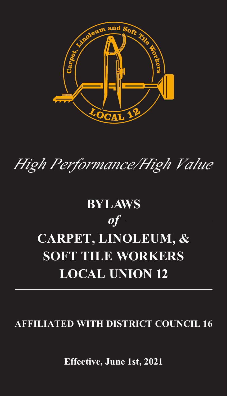

# *High Performance/High Value*

# **BYLAWS** *of* **CARPET, LINOLEUM, & SOFT TILE WORKERS LOCAL UNION 12**

# **AFFILIATED WITH DISTRICT COUNCIL 16**

**Effective, June 1st, 2021**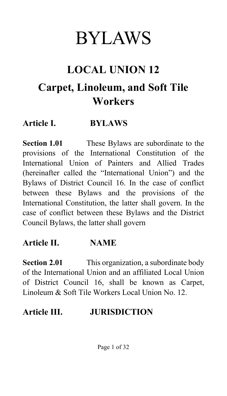# BYLAWS

# **LOCAL UNION 12**

# **Carpet, Linoleum, and Soft Tile Workers**

#### **Article I. BYLAWS**

**Section 1.01** These Bylaws are subordinate to the provisions of the International Constitution of the International Union of Painters and Allied Trades (hereinafter called the "International Union") and the Bylaws of District Council 16. In the case of conflict between these Bylaws and the provisions of the International Constitution, the latter shall govern. In the case of conflict between these Bylaws and the District Council Bylaws, the latter shall govern

#### **Article II. NAME**

**Section 2.01** This organization, a subordinate body of the International Union and an affiliated Local Union of District Council 16, shall be known as Carpet, Linoleum & Soft Tile Workers Local Union No. 12.

#### **Article III. JURISDICTION**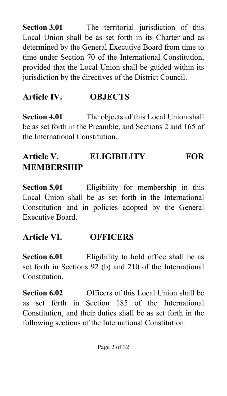**Section 3.01** The territorial jurisdiction of this Local Union shall be as set forth in its Charter and as determined by the General Executive Board from time to time under Section 70 of the International Constitution, provided that the Local Union shall be guided within its jurisdiction by the directives of the District Council.

#### **Article IV. OBJECTS**

**Section 4.01** The objects of this Local Union shall be as set forth in the Preamble, and Sections 2 and 165 of the International Constitution.

# **Article V. ELIGIBILITY FOR MEMBERSHIP**

**Section 5.01** Eligibility for membership in this Local Union shall be as set forth in the International Constitution and in policies adopted by the General Executive Board.

#### **Article VI. OFFICERS**

**Section 6.01** Eligibility to hold office shall be as set forth in Sections 92 (b) and 210 of the International Constitution.

**Section 6.02** Officers of this Local Union shall be as set forth in Section 185 of the International Constitution, and their duties shall be as set forth in the following sections of the International Constitution: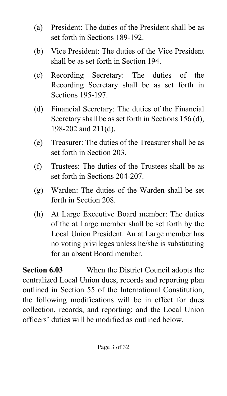- (a) President: The duties of the President shall be as set forth in Sections 189-192.
- (b) Vice President: The duties of the Vice President shall be as set forth in Section 194.
- (c) Recording Secretary: The duties of the Recording Secretary shall be as set forth in Sections 195-197.
- (d) Financial Secretary: The duties of the Financial Secretary shall be as set forth in Sections 156 (d), 198-202 and 211(d).
- (e) Treasurer: The duties of the Treasurer shall be as set forth in Section 203.
- (f) Trustees: The duties of the Trustees shall be as set forth in Sections 204-207.
- (g) Warden: The duties of the Warden shall be set forth in Section 208.
- (h) At Large Executive Board member: The duties of the at Large member shall be set forth by the Local Union President. An at Large member has no voting privileges unless he/she is substituting for an absent Board member.

**Section 6.03** When the District Council adopts the centralized Local Union dues, records and reporting plan outlined in Section 55 of the International Constitution, the following modifications will be in effect for dues collection, records, and reporting; and the Local Union officers' duties will be modified as outlined below.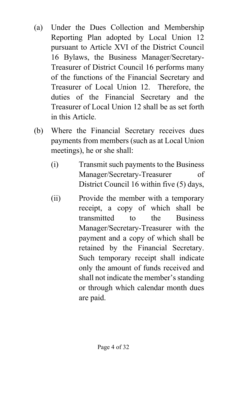- (a) Under the Dues Collection and Membership Reporting Plan adopted by Local Union 12 pursuant to Article XVI of the District Council 16 Bylaws, the Business Manager/Secretary-Treasurer of District Council 16 performs many of the functions of the Financial Secretary and Treasurer of Local Union 12. Therefore, the duties of the Financial Secretary and the Treasurer of Local Union 12 shall be as set forth in this Article.
- (b) Where the Financial Secretary receives dues payments from members (such as at Local Union meetings), he or she shall:
	- (i) Transmit such payments to the Business Manager/Secretary-Treasurer of District Council 16 within five (5) days,
	- (ii) Provide the member with a temporary receipt, a copy of which shall be transmitted to the Business Manager/Secretary-Treasurer with the payment and a copy of which shall be retained by the Financial Secretary. Such temporary receipt shall indicate only the amount of funds received and shall not indicate the member's standing or through which calendar month dues are paid.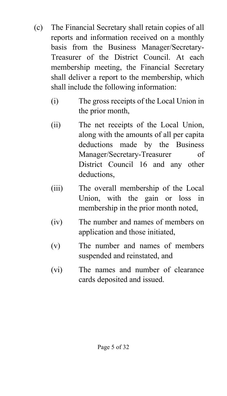- (c) The Financial Secretary shall retain copies of all reports and information received on a monthly basis from the Business Manager/Secretary-Treasurer of the District Council. At each membership meeting, the Financial Secretary shall deliver a report to the membership, which shall include the following information:
	- (i) The gross receipts of the Local Union in the prior month,
	- (ii) The net receipts of the Local Union, along with the amounts of all per capita deductions made by the Business Manager/Secretary-Treasurer of District Council 16 and any other deductions,
	- (iii) The overall membership of the Local Union, with the gain or loss in membership in the prior month noted,
	- (iv) The number and names of members on application and those initiated,
	- (v) The number and names of members suspended and reinstated, and
	- (vi) The names and number of clearance cards deposited and issued.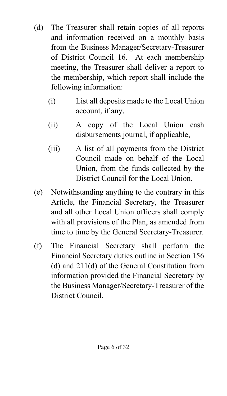- (d) The Treasurer shall retain copies of all reports and information received on a monthly basis from the Business Manager/Secretary-Treasurer of District Council 16. At each membership meeting, the Treasurer shall deliver a report to the membership, which report shall include the following information:
	- (i) List all deposits made to the Local Union account, if any,
	- (ii) A copy of the Local Union cash disbursements journal, if applicable,
	- (iii) A list of all payments from the District Council made on behalf of the Local Union, from the funds collected by the District Council for the Local Union.
- (e) Notwithstanding anything to the contrary in this Article, the Financial Secretary, the Treasurer and all other Local Union officers shall comply with all provisions of the Plan, as amended from time to time by the General Secretary-Treasurer.
- (f) The Financial Secretary shall perform the Financial Secretary duties outline in Section 156 (d) and 211(d) of the General Constitution from information provided the Financial Secretary by the Business Manager/Secretary-Treasurer of the District Council.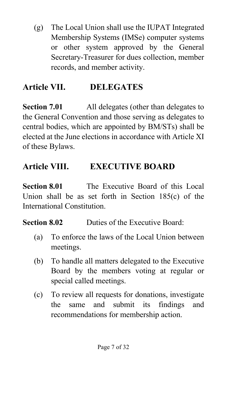(g) The Local Union shall use the IUPAT Integrated Membership Systems (IMSe) computer systems or other system approved by the General Secretary-Treasurer for dues collection, member records, and member activity.

### **Article VII. DELEGATES**

**Section 7.01** All delegates (other than delegates to the General Convention and those serving as delegates to central bodies, which are appointed by BM/STs) shall be elected at the June elections in accordance with Article XI of these Bylaws.

# **Article VIII. EXECUTIVE BOARD**

**Section 8.01** The Executive Board of this Local Union shall be as set forth in Section 185(c) of the International Constitution.

**Section 8.02** Duties of the Executive Board:

- (a) To enforce the laws of the Local Union between meetings.
- (b) To handle all matters delegated to the Executive Board by the members voting at regular or special called meetings.
- (c) To review all requests for donations, investigate the same and submit its findings and recommendations for membership action.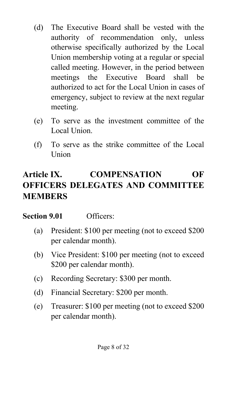- (d) The Executive Board shall be vested with the authority of recommendation only, unless otherwise specifically authorized by the Local Union membership voting at a regular or special called meeting. However, in the period between meetings the Executive Board shall be authorized to act for the Local Union in cases of emergency, subject to review at the next regular meeting.
- (e) To serve as the investment committee of the Local Union.
- (f) To serve as the strike committee of the Local Union

# **Article IX. COMPENSATION OF OFFICERS DELEGATES AND COMMITTEE MEMBERS**

#### **Section 9.01** Officers:

- (a) President: \$100 per meeting (not to exceed \$200 per calendar month).
- (b) Vice President: \$100 per meeting (not to exceed \$200 per calendar month).
- (c) Recording Secretary: \$300 per month.
- (d) Financial Secretary: \$200 per month.
- (e) Treasurer: \$100 per meeting (not to exceed \$200 per calendar month).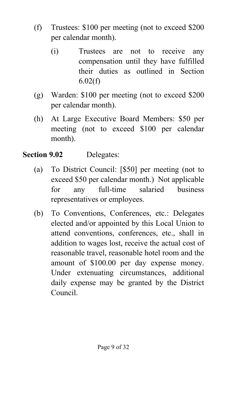- (f) Trustees: \$100 per meeting (not to exceed \$200 per calendar month).
	- (i) Trustees are not to receive any compensation until they have fulfilled their duties as outlined in Section 6.02(f)
- (g) Warden: \$100 per meeting (not to exceed \$200 per calendar month).
- (h) At Large Executive Board Members: \$50 per meeting (not to exceed \$100 per calendar month).

#### **Section 9.02** Delegates:

- (a) To District Council: [\$50] per meeting (not to exceed \$50 per calendar month.) Not applicable for any full-time salaried business representatives or employees.
- (b) To Conventions, Conferences, etc.: Delegates elected and/or appointed by this Local Union to attend conventions, conferences, etc., shall in addition to wages lost, receive the actual cost of reasonable travel, reasonable hotel room and the amount of \$100.00 per day expense money. Under extenuating circumstances, additional daily expense may be granted by the District Council.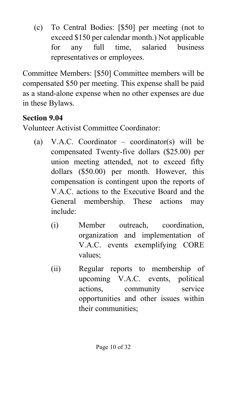(c) To Central Bodies: [\$50] per meeting (not to exceed \$150 per calendar month.) Not applicable for any full time, salaried business representatives or employees.

Committee Members: [\$50] Committee members will be compensated \$50 per meeting. This expense shall be paid as a stand-alone expense when no other expenses are due in these Bylaws.

#### **Section 9.04**

Volunteer Activist Committee Coordinator:

- (a) V.A.C. Coordinator coordinator(s) will be compensated Twenty-five dollars (\$25.00) per union meeting attended, not to exceed fifty dollars (\$50.00) per month. However, this compensation is contingent upon the reports of V.A.C. actions to the Executive Board and the General membership. These actions may include:
	- (i) Member outreach, coordination, organization and implementation of V.A.C. events exemplifying CORE values;
	- (ii) Regular reports to membership of upcoming V.A.C. events, political actions, community service opportunities and other issues within their communities;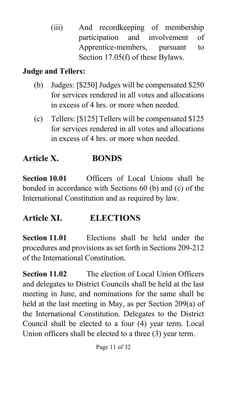(iii) And recordkeeping of membership participation and involvement of Apprentice-members, pursuant to Section 17.05(f) of these Bylaws.

#### **Judge and Tellers:**

- (b) Judges: [\$250] Judges will be compensated \$250 for services rendered in all votes and allocations in excess of 4 hrs. or more when needed.
- (c) Tellers: [\$125] Tellers will be compensated \$125 for services rendered in all votes and allocations in excess of 4 hrs. or more when needed.

# **Article X. BONDS**

**Section 10.01** Officers of Local Unions shall be bonded in accordance with Sections 60 (b) and (c) of the International Constitution and as required by law.

#### **Article XI. ELECTIONS**

**Section 11.01** Elections shall be held under the procedures and provisions as set forth in Sections 209-212 of the International Constitution.

**Section 11.02** The election of Local Union Officers and delegates to District Councils shall be held at the last meeting in June, and nominations for the same shall be held at the last meeting in May, as per Section 209(a) of the International Constitution. Delegates to the District Council shall be elected to a four (4) year term. Local Union officers shall be elected to a three (3) year term.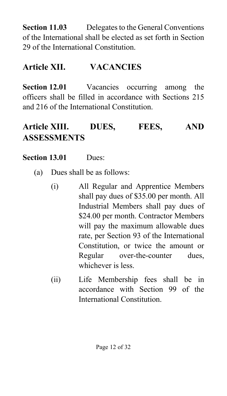**Section 11.03** Delegates to the General Conventions of the International shall be elected as set forth in Section 29 of the International Constitution.

#### **Article XII. VACANCIES**

**Section 12.01** Vacancies occurring among the officers shall be filled in accordance with Sections 215 and 216 of the International Constitution.

### **Article XIII. DUES, FEES, AND ASSESSMENTS**

#### **Section 13.01** Dues:

- (a) Dues shall be as follows:
	- (i) All Regular and Apprentice Members shall pay dues of \$35.00 per month. All Industrial Members shall pay dues of \$24.00 per month. Contractor Members will pay the maximum allowable dues rate, per Section 93 of the International Constitution, or twice the amount or Regular over-the-counter dues, whichever is less.
	- (ii) Life Membership fees shall be in accordance with Section 99 of the International Constitution.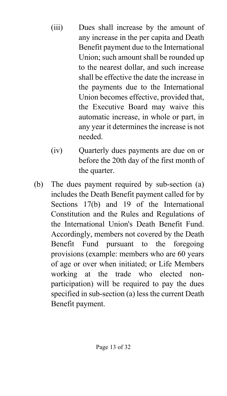- (iii) Dues shall increase by the amount of any increase in the per capita and Death Benefit payment due to the International Union; such amount shall be rounded up to the nearest dollar, and such increase shall be effective the date the increase in the payments due to the International Union becomes effective, provided that, the Executive Board may waive this automatic increase, in whole or part, in any year it determines the increase is not needed.
- (iv) Quarterly dues payments are due on or before the 20th day of the first month of the quarter.
- (b) The dues payment required by sub-section (a) includes the Death Benefit payment called for by Sections 17(b) and 19 of the International Constitution and the Rules and Regulations of the International Union's Death Benefit Fund. Accordingly, members not covered by the Death Benefit Fund pursuant to the foregoing provisions (example: members who are 60 years of age or over when initiated; or Life Members working at the trade who elected nonparticipation) will be required to pay the dues specified in sub-section (a) less the current Death Benefit payment.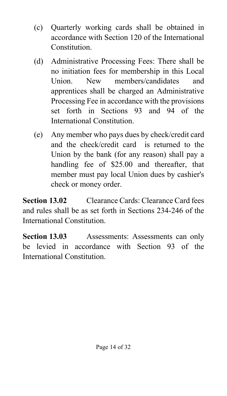- (c) Quarterly working cards shall be obtained in accordance with Section 120 of the International Constitution.
- (d) Administrative Processing Fees: There shall be no initiation fees for membership in this Local Union. New members/candidates and apprentices shall be charged an Administrative Processing Fee in accordance with the provisions set forth in Sections 93 and 94 of the International Constitution.
- (e) Any member who pays dues by check/credit card and the check/credit card is returned to the Union by the bank (for any reason) shall pay a handling fee of \$25.00 and thereafter, that member must pay local Union dues by cashier's check or money order.

**Section 13.02** Clearance Cards: Clearance Card fees and rules shall be as set forth in Sections 234-246 of the International Constitution.

**Section 13.03** Assessments: Assessments can only be levied in accordance with Section 93 of the International Constitution.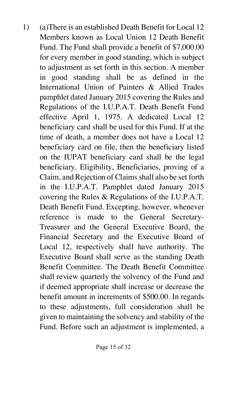1) (a)There is an established Death Benefit for Local 12 Members known as Local Union 12 Death Benefit Fund. The Fund shall provide a benefit of \$7,000.00 for every member in good standing, which is subject to adjustment as set forth in this section. A member in good standing shall be as defined in the International Union of Painters & Allied Trades pamphlet dated January 2015 covering the Rules and Regulations of the I.U.P.A.T. Death Benefit Fund effective April 1, 1975. A dedicated Local 12 beneficiary card shall be used for this Fund. If at the time of death, a member does not have a Local 12 beneficiary card on file, then the beneficiary listed on the IUPAT beneficiary card shall be the legal beneficiary. Eligibility, Beneficiaries, proving of a Claim, and Rejection of Claims shall also be set forth in the I.U.P.A.T. Pamphlet dated January 2015 covering the Rules & Regulations of the I.U.P.A.T. Death Benefit Fund. Excepting, however, whenever reference is made to the General Secretary-Treasurer and the General Executive Board, the Financial Secretary and the Executive Board of Local 12, respectively shall have authority. The Executive Board shall serve as the standing Death Benefit Committee. The Death Benefit Committee shall review quarterly the solvency of the Fund and if deemed appropriate shall increase or decrease the benefit amount in increments of \$500.00. In regards to these adjustments, full consideration shall be given to maintaining the solvency and stability of the Fund. Before such an adjustment is implemented, a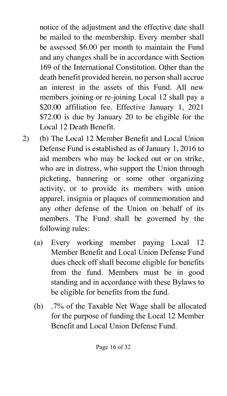notice of the adjustment and the effective date shall be mailed to the membership. Every member shall be assessed \$6.00 per month to maintain the Fund and any changes shall be in accordance with Section 169 of the International Constitution. Other than the death benefit provided herein, no person shall accrue an interest in the assets of this Fund. All new members joining or re-joining Local 12 shall pay a \$20.00 affiliation fee. Effective January 1, 2021 \$72.00 is due by January 20 to be eligible for the Local 12 Death Benefit.

- 2) (b) The Local 12 Member Benefit and Local Union Defense Fund is established as of January 1, 2016 to aid members who may be locked out or on strike, who are in distress, who support the Union through picketing, bannering or some other organizing activity, or to provide its members with union apparel, insignia or plaques of commemoration and any other defense of the Union on behalf of its members. The Fund shall be governed by the following rules:
	- (a) Every working member paying Local 12 Member Benefit and Local Union Defense Fund dues check off shall become eligible for benefits from the fund. Members must be in good standing and in accordance with these Bylaws to be eligible for benefits from the fund.
	- (b) .7% of the Taxable Net Wage shall be allocated for the purpose of funding the Local 12 Member Benefit and Local Union Defense Fund.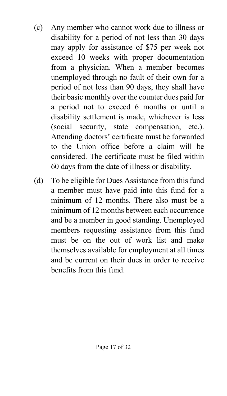- (c) Any member who cannot work due to illness or disability for a period of not less than 30 days may apply for assistance of \$75 per week not exceed 10 weeks with proper documentation from a physician. When a member becomes unemployed through no fault of their own for a period of not less than 90 days, they shall have their basic monthly over the counter dues paid for a period not to exceed 6 months or until a disability settlement is made, whichever is less (social security, state compensation, etc.). Attending doctors' certificate must be forwarded to the Union office before a claim will be considered. The certificate must be filed within 60 days from the date of illness or disability.
- (d) To be eligible for Dues Assistance from this fund a member must have paid into this fund for a minimum of 12 months. There also must be a minimum of 12 months between each occurrence and be a member in good standing. Unemployed members requesting assistance from this fund must be on the out of work list and make themselves available for employment at all times and be current on their dues in order to receive benefits from this fund.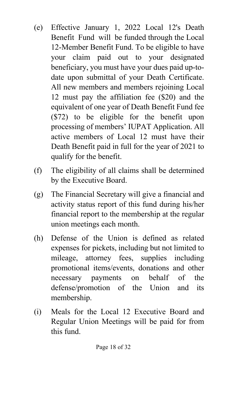- (e) Effective January 1, 2022 Local 12's Death Benefit Fund will be funded through the Local 12-Member Benefit Fund. To be eligible to have your claim paid out to your designated beneficiary, you must have your dues paid up-todate upon submittal of your Death Certificate. All new members and members rejoining Local 12 must pay the affiliation fee (\$20) and the equivalent of one year of Death Benefit Fund fee (\$72) to be eligible for the benefit upon processing of members' IUPAT Application. All active members of Local 12 must have their Death Benefit paid in full for the year of 2021 to qualify for the benefit.
- (f) The eligibility of all claims shall be determined by the Executive Board.
- (g) The Financial Secretary will give a financial and activity status report of this fund during his/her financial report to the membership at the regular union meetings each month.
- (h) Defense of the Union is defined as related expenses for pickets, including but not limited to mileage, attorney fees, supplies including promotional items/events, donations and other necessary payments on behalf of the defense/promotion of the Union and its membership.
- (i) Meals for the Local 12 Executive Board and Regular Union Meetings will be paid for from this fund.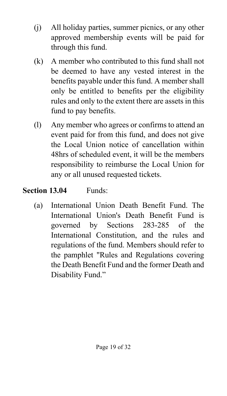- (j) All holiday parties, summer picnics, or any other approved membership events will be paid for through this fund.
- (k) A member who contributed to this fund shall not be deemed to have any vested interest in the benefits payable under this fund. A member shall only be entitled to benefits per the eligibility rules and only to the extent there are assets in this fund to pay benefits.
- (l) Any member who agrees or confirms to attend an event paid for from this fund, and does not give the Local Union notice of cancellation within 48hrs of scheduled event, it will be the members responsibility to reimburse the Local Union for any or all unused requested tickets.

#### **Section 13.04** Funds:

(a) International Union Death Benefit Fund. The International Union's Death Benefit Fund is governed by Sections 283-285 of the International Constitution, and the rules and regulations of the fund. Members should refer to the pamphlet "Rules and Regulations covering the Death Benefit Fund and the former Death and Disability Fund."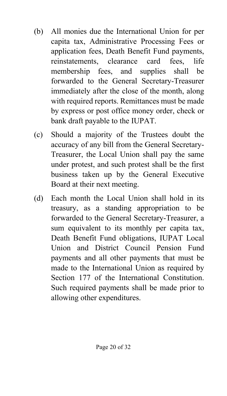- (b) All monies due the International Union for per capita tax, Administrative Processing Fees or application fees, Death Benefit Fund payments, reinstatements, clearance card fees, life membership fees, and supplies shall be forwarded to the General Secretary-Treasurer immediately after the close of the month, along with required reports. Remittances must be made by express or post office money order, check or bank draft payable to the IUPAT.
- (c) Should a majority of the Trustees doubt the accuracy of any bill from the General Secretary-Treasurer, the Local Union shall pay the same under protest, and such protest shall be the first business taken up by the General Executive Board at their next meeting.
- (d) Each month the Local Union shall hold in its treasury, as a standing appropriation to be forwarded to the General Secretary-Treasurer, a sum equivalent to its monthly per capita tax, Death Benefit Fund obligations, IUPAT Local Union and District Council Pension Fund payments and all other payments that must be made to the International Union as required by Section 177 of the International Constitution. Such required payments shall be made prior to allowing other expenditures.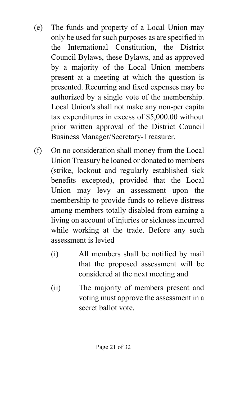- (e) The funds and property of a Local Union may only be used for such purposes as are specified in the International Constitution, the District Council Bylaws, these Bylaws, and as approved by a majority of the Local Union members present at a meeting at which the question is presented. Recurring and fixed expenses may be authorized by a single vote of the membership. Local Union's shall not make any non-per capita tax expenditures in excess of \$5,000.00 without prior written approval of the District Council Business Manager/Secretary-Treasurer.
- (f) On no consideration shall money from the Local Union Treasury be loaned or donated to members (strike, lockout and regularly established sick benefits excepted), provided that the Local Union may levy an assessment upon the membership to provide funds to relieve distress among members totally disabled from earning a living on account of injuries or sickness incurred while working at the trade. Before any such assessment is levied
	- (i) All members shall be notified by mail that the proposed assessment will be considered at the next meeting and
	- (ii) The majority of members present and voting must approve the assessment in a secret ballot vote.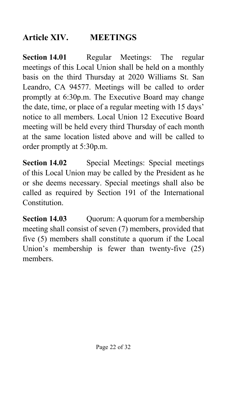### **Article XIV. MEETINGS**

**Section 14.01** Regular Meetings: The regular meetings of this Local Union shall be held on a monthly basis on the third Thursday at 2020 Williams St. San Leandro, CA 94577. Meetings will be called to order promptly at 6:30p.m. The Executive Board may change the date, time, or place of a regular meeting with 15 days' notice to all members. Local Union 12 Executive Board meeting will be held every third Thursday of each month at the same location listed above and will be called to order promptly at 5:30p.m.

**Section 14.02** Special Meetings: Special meetings of this Local Union may be called by the President as he or she deems necessary. Special meetings shall also be called as required by Section 191 of the International Constitution.

**Section 14.03** Quorum: A quorum for a membership meeting shall consist of seven (7) members, provided that five (5) members shall constitute a quorum if the Local Union's membership is fewer than twenty-five (25) members.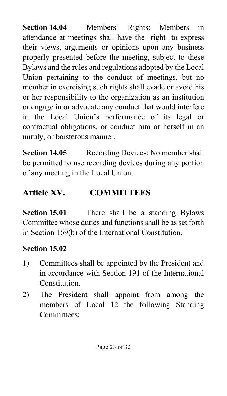**Section 14.04** Members' Rights: Members in attendance at meetings shall have the right to express their views, arguments or opinions upon any business properly presented before the meeting, subject to these Bylaws and the rules and regulations adopted by the Local Union pertaining to the conduct of meetings, but no member in exercising such rights shall evade or avoid his or her responsibility to the organization as an institution or engage in or advocate any conduct that would interfere in the Local Union's performance of its legal or contractual obligations, or conduct him or herself in an unruly, or boisterous manner.

**Section 14.05** Recording Devices: No member shall be permitted to use recording devices during any portion of any meeting in the Local Union.

### **Article XV. COMMITTEES**

**Section 15.01** There shall be a standing Bylaws Committee whose duties and functions shall be as set forth in Section 169(b) of the International Constitution.

#### **Section 15.02**

- 1) Committees shall be appointed by the President and in accordance with Section 191 of the International Constitution.
- 2) The President shall appoint from among the members of Local 12 the following Standing Committees: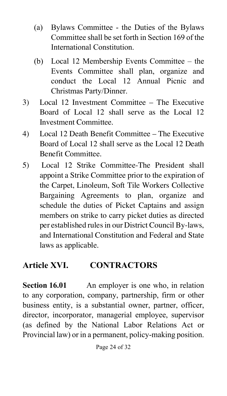- (a) Bylaws Committee the Duties of the Bylaws Committee shall be set forth in Section 169 of the International Constitution.
- (b) Local 12 Membership Events Committee the Events Committee shall plan, organize and conduct the Local 12 Annual Picnic and Christmas Party/Dinner.
- 3) Local 12 Investment Committee The Executive Board of Local 12 shall serve as the Local 12 Investment Committee.
- 4) Local 12 Death Benefit Committee The Executive Board of Local 12 shall serve as the Local 12 Death Benefit Committee.
- 5) Local 12 Strike Committee-The President shall appoint a Strike Committee prior to the expiration of the Carpet, Linoleum, Soft Tile Workers Collective Bargaining Agreements to plan, organize and schedule the duties of Picket Captains and assign members on strike to carry picket duties as directed per established rules in our District Council By-laws, and International Constitution and Federal and State laws as applicable.

#### **Article XVI. CONTRACTORS**

**Section 16.01** An employer is one who, in relation to any corporation, company, partnership, firm or other business entity, is a substantial owner, partner, officer, director, incorporator, managerial employee, supervisor (as defined by the National Labor Relations Act or Provincial law) or in a permanent, policy-making position.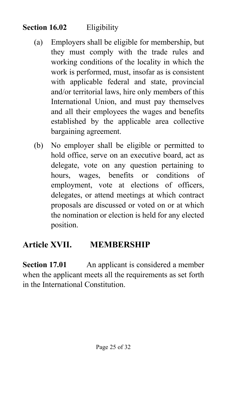#### **Section 16.02** Eligibility

- (a) Employers shall be eligible for membership, but they must comply with the trade rules and working conditions of the locality in which the work is performed, must, insofar as is consistent with applicable federal and state, provincial and/or territorial laws, hire only members of this International Union, and must pay themselves and all their employees the wages and benefits established by the applicable area collective bargaining agreement.
- (b) No employer shall be eligible or permitted to hold office, serve on an executive board, act as delegate, vote on any question pertaining to hours, wages, benefits or conditions of employment, vote at elections of officers, delegates, or attend meetings at which contract proposals are discussed or voted on or at which the nomination or election is held for any elected position.

#### **Article XVII. MEMBERSHIP**

**Section 17.01** An applicant is considered a member when the applicant meets all the requirements as set forth in the International Constitution.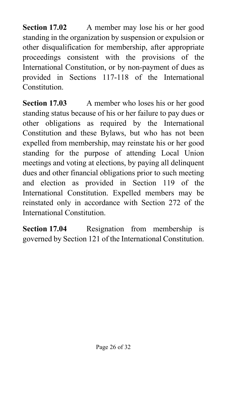**Section 17.02** A member may lose his or her good standing in the organization by suspension or expulsion or other disqualification for membership, after appropriate proceedings consistent with the provisions of the International Constitution, or by non-payment of dues as provided in Sections 117-118 of the International Constitution.

**Section 17.03** A member who loses his or her good standing status because of his or her failure to pay dues or other obligations as required by the International Constitution and these Bylaws, but who has not been expelled from membership, may reinstate his or her good standing for the purpose of attending Local Union meetings and voting at elections, by paying all delinquent dues and other financial obligations prior to such meeting and election as provided in Section 119 of the International Constitution. Expelled members may be reinstated only in accordance with Section 272 of the International Constitution.

**Section 17.04** Resignation from membership is governed by Section 121 of the International Constitution.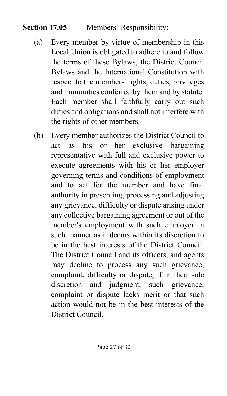#### **Section 17.05** Members' Responsibility:

- (a) Every member by virtue of membership in this Local Union is obligated to adhere to and follow the terms of these Bylaws, the District Council Bylaws and the International Constitution with respect to the members' rights, duties, privileges and immunities conferred by them and by statute. Each member shall faithfully carry out such duties and obligations and shall not interfere with the rights of other members.
- (b) Every member authorizes the District Council to act as his or her exclusive bargaining representative with full and exclusive power to execute agreements with his or her employer governing terms and conditions of employment and to act for the member and have final authority in presenting, processing and adjusting any grievance, difficulty or dispute arising under any collective bargaining agreement or out of the member's employment with such employer in such manner as it deems within its discretion to be in the best interests of the District Council. The District Council and its officers, and agents may decline to process any such grievance, complaint, difficulty or dispute, if in their sole discretion and judgment, such grievance, complaint or dispute lacks merit or that such action would not be in the best interests of the District Council.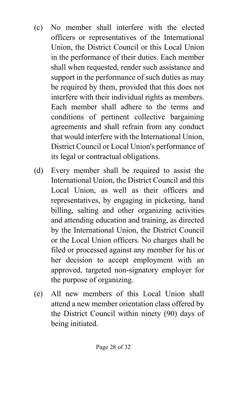- (c) No member shall interfere with the elected officers or representatives of the International Union, the District Council or this Local Union in the performance of their duties. Each member shall when requested, render such assistance and support in the performance of such duties as may be required by them, provided that this does not interfere with their individual rights as members. Each member shall adhere to the terms and conditions of pertinent collective bargaining agreements and shall refrain from any conduct that would interfere with the International Union, District Council or Local Union's performance of its legal or contractual obligations.
- (d) Every member shall be required to assist the International Union, the District Council and this Local Union, as well as their officers and representatives, by engaging in picketing, hand billing, salting and other organizing activities and attending education and training, as directed by the International Union, the District Council or the Local Union officers. No charges shall be filed or processed against any member for his or her decision to accept employment with an approved, targeted non-signatory employer for the purpose of organizing.
- (e) All new members of this Local Union shall attend a new member orientation class offered by the District Council within ninety (90) days of being initiated.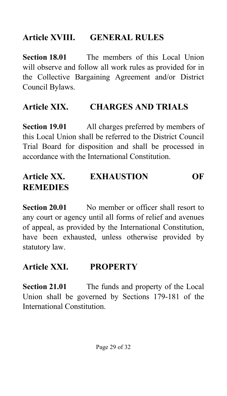#### **Article XVIII. GENERAL RULES**

**Section 18.01** The members of this Local Union will observe and follow all work rules as provided for in the Collective Bargaining Agreement and/or District Council Bylaws.

# **Article XIX. CHARGES AND TRIALS**

**Section 19.01** All charges preferred by members of this Local Union shall be referred to the District Council Trial Board for disposition and shall be processed in accordance with the International Constitution.

# **Article XX. EXHAUSTION OF REMEDIES**

**Section 20.01** No member or officer shall resort to any court or agency until all forms of relief and avenues of appeal, as provided by the International Constitution, have been exhausted, unless otherwise provided by statutory law.

#### **Article XXI. PROPERTY**

**Section 21.01** The funds and property of the Local Union shall be governed by Sections 179-181 of the International Constitution.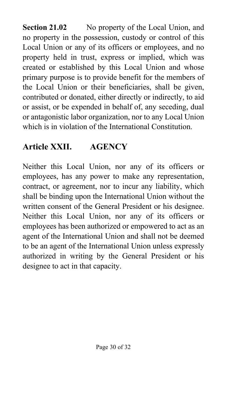**Section 21.02** No property of the Local Union, and no property in the possession, custody or control of this Local Union or any of its officers or employees, and no property held in trust, express or implied, which was created or established by this Local Union and whose primary purpose is to provide benefit for the members of the Local Union or their beneficiaries, shall be given, contributed or donated, either directly or indirectly, to aid or assist, or be expended in behalf of, any seceding, dual or antagonistic labor organization, nor to any Local Union which is in violation of the International Constitution.

# **Article XXII. AGENCY**

Neither this Local Union, nor any of its officers or employees, has any power to make any representation, contract, or agreement, nor to incur any liability, which shall be binding upon the International Union without the written consent of the General President or his designee. Neither this Local Union, nor any of its officers or employees has been authorized or empowered to act as an agent of the International Union and shall not be deemed to be an agent of the International Union unless expressly authorized in writing by the General President or his designee to act in that capacity.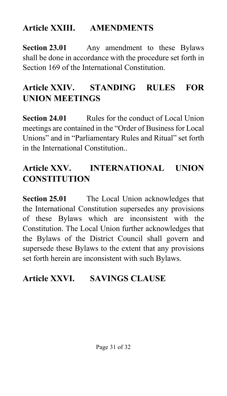#### **Article XXIII. AMENDMENTS**

**Section 23.01** Any amendment to these Bylaws shall be done in accordance with the procedure set forth in Section 169 of the International Constitution.

# **Article XXIV. STANDING RULES FOR UNION MEETINGS**

**Section 24.01** Rules for the conduct of Local Union meetings are contained in the "Order of Business for Local Unions" and in "Parliamentary Rules and Ritual" set forth in the International Constitution..

#### **Article XXV. INTERNATIONAL UNION CONSTITUTION**

**Section 25.01** The Local Union acknowledges that the International Constitution supersedes any provisions of these Bylaws which are inconsistent with the Constitution. The Local Union further acknowledges that the Bylaws of the District Council shall govern and supersede these Bylaws to the extent that any provisions set forth herein are inconsistent with such Bylaws.

# **Article XXVI. SAVINGS CLAUSE**